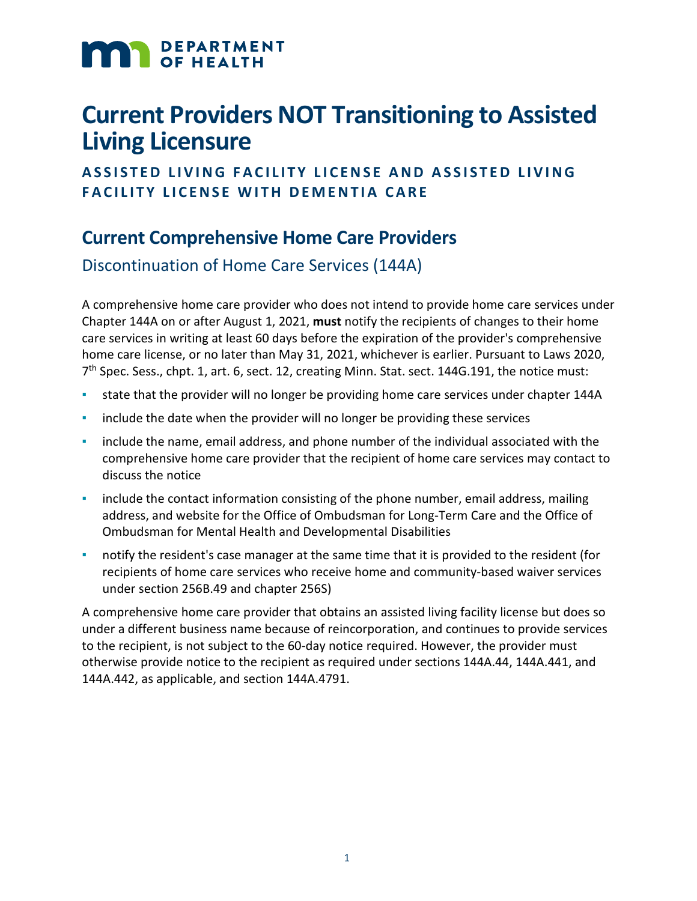# **MAN** DEPARTMENT

## **Current Providers NOT Transitioning to Assisted Living Licensure**

#### **ASSISTED LIVING FACILITY LICENSE AND ASSISTED LIVING FACILITY LICENSE WITH DEMENTIA CARE**

#### **Current Comprehensive Home Care Providers**

Discontinuation of Home Care Services (144A)

A comprehensive home care provider who does not intend to provide home care services under Chapter 144A on or after August 1, 2021, **must** notify the recipients of changes to their home care services in writing at least 60 days before the expiration of the provider's comprehensive home care license, or no later than May 31, 2021, whichever is earlier. Pursuant to Laws 2020, 7<sup>th</sup> Spec. Sess., chpt. 1, art. 6, sect. 12, creating Minn. Stat. sect. 144G.191, the notice must:

- state that the provider will no longer be providing home care services under chapter 144A
- include the date when the provider will no longer be providing these services
- include the name, email address, and phone number of the individual associated with the comprehensive home care provider that the recipient of home care services may contact to discuss the notice
- include the contact information consisting of the phone number, email address, mailing address, and website for the Office of Ombudsman for Long-Term Care and the Office of Ombudsman for Mental Health and Developmental Disabilities
- notify the resident's case manager at the same time that it is provided to the resident (for recipients of home care services who receive home and community-based waiver services under section 256B.49 and chapter 256S)

A comprehensive home care provider that obtains an assisted living facility license but does so under a different business name because of reincorporation, and continues to provide services to the recipient, is not subject to the 60-day notice required. However, the provider must otherwise provide notice to the recipient as required under sections 144A.44, 144A.441, and 144A.442, as applicable, and section 144A.4791.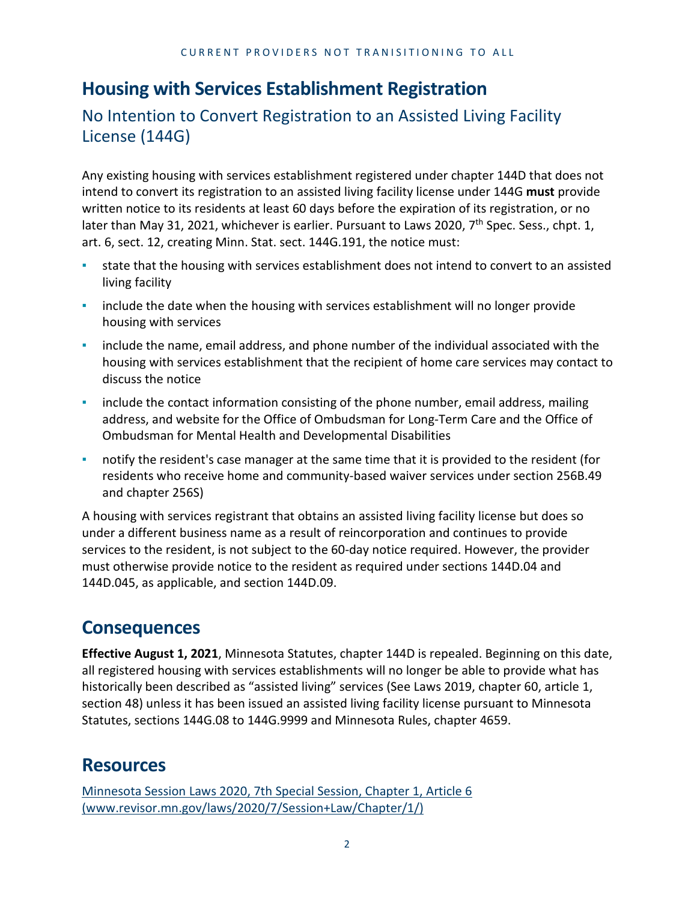### **Housing with Services Establishment Registration**

No Intention to Convert Registration to an Assisted Living Facility License (144G)

Any existing housing with services establishment registered under chapter 144D that does not intend to convert its registration to an assisted living facility license under 144G **must** provide written notice to its residents at least 60 days before the expiration of its registration, or no later than May 31, 2021, whichever is earlier. Pursuant to Laws 2020, 7<sup>th</sup> Spec. Sess., chpt. 1, art. 6, sect. 12, creating Minn. Stat. sect. 144G.191, the notice must:

- state that the housing with services establishment does not intend to convert to an assisted living facility
- **•** include the date when the housing with services establishment will no longer provide housing with services
- include the name, email address, and phone number of the individual associated with the housing with services establishment that the recipient of home care services may contact to discuss the notice
- include the contact information consisting of the phone number, email address, mailing address, and website for the Office of Ombudsman for Long-Term Care and the Office of Ombudsman for Mental Health and Developmental Disabilities
- **•** notify the resident's case manager at the same time that it is provided to the resident (for residents who receive home and community-based waiver services under section 256B.49 and chapter 256S)

A housing with services registrant that obtains an assisted living facility license but does so under a different business name as a result of reincorporation and continues to provide services to the resident, is not subject to the 60-day notice required. However, the provider must otherwise provide notice to the resident as required under sections 144D.04 and 144D.045, as applicable, and section 144D.09.

#### **Consequences**

**Effective August 1, 2021**, Minnesota Statutes, chapter 144D is repealed. Beginning on this date, all registered housing with services establishments will no longer be able to provide what has historically been described as "assisted living" services (See Laws 2019, chapter 60, article 1, section 48) unless it has been issued an assisted living facility license pursuant to Minnesota Statutes, sections 144G.08 to 144G.9999 and Minnesota Rules, chapter 4659.

#### **Resources**

[Minnesota Session Laws 2020, 7th Special Session, Chapter 1, Article 6](https://www.revisor.mn.gov/laws/2020/7/Session+Law/Chapter/1/)  [\(www.revisor.mn.gov/laws/2020/7/Session+Law/Chapter/1/\)](https://www.revisor.mn.gov/laws/2020/7/Session+Law/Chapter/1/)